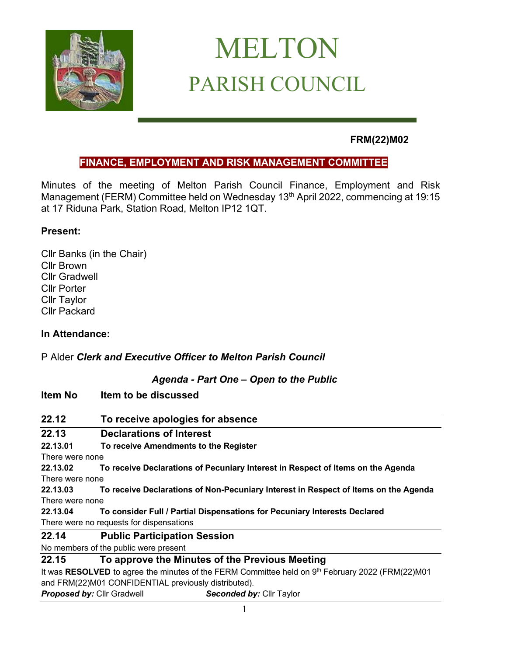

# MELTON PARISH COUNCIL

# **FRM(22)M02**

### **FINANCE, EMPLOYMENT AND RISK MANAGEMENT COMMITTEE**

Minutes of the meeting of Melton Parish Council Finance, Employment and Risk Management (FERM) Committee held on Wednesday 13<sup>th</sup> April 2022, commencing at 19:15 at 17 Riduna Park, Station Road, Melton IP12 1QT.

#### **Present:**

Cllr Banks (in the Chair) Cllr Brown Cllr Gradwell Cllr Porter Cllr Taylor Cllr Packard

#### **In Attendance:**

P Alder *Clerk and Executive Officer to Melton Parish Council*

#### *Agenda - Part One – Open to the Public*

#### **Item No Item to be discussed**

| 22.12           | To receive apologies for absence                                                                   |  |
|-----------------|----------------------------------------------------------------------------------------------------|--|
| 22.13           | <b>Declarations of Interest</b>                                                                    |  |
| 22.13.01        | To receive Amendments to the Register                                                              |  |
| There were none |                                                                                                    |  |
| 22.13.02        | To receive Declarations of Pecuniary Interest in Respect of Items on the Agenda                    |  |
| There were none |                                                                                                    |  |
| 22.13.03        | To receive Declarations of Non-Pecuniary Interest in Respect of Items on the Agenda                |  |
| There were none |                                                                                                    |  |
| 22.13.04        | To consider Full / Partial Dispensations for Pecuniary Interests Declared                          |  |
|                 | There were no requests for dispensations                                                           |  |
| 22.14           | <b>Public Participation Session</b>                                                                |  |
|                 | No members of the public were present                                                              |  |
| 22.15           | To approve the Minutes of the Previous Meeting                                                     |  |
|                 | It was RESOLVED to agree the minutes of the FERM Committee held on $9th$ February 2022 (FRM(22)M01 |  |
|                 | and FRM(22)M01 CONFIDENTIAL previously distributed).                                               |  |
|                 | <b>Proposed by: Cllr Gradwell</b><br>Seconded by: Cllr Taylor                                      |  |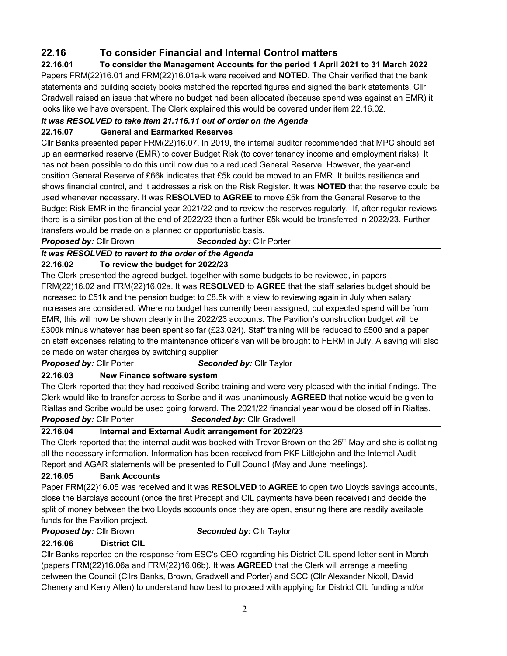## **22.16 To consider Financial and Internal Control matters**

**22.16.01 To consider the Management Accounts for the period 1 April 2021 to 31 March 2022** Papers FRM(22)16.01 and FRM(22)16.01a-k were received and **NOTED**. The Chair verified that the bank statements and building society books matched the reported figures and signed the bank statements. Cllr Gradwell raised an issue that where no budget had been allocated (because spend was against an EMR) it looks like we have overspent. The Clerk explained this would be covered under item 22.16.02.

#### *It was RESOLVED to take Item 21.116.11 out of order on the Agenda*

#### **22.16.07 General and Earmarked Reserves**

Cllr Banks presented paper FRM(22)16.07. In 2019, the internal auditor recommended that MPC should set up an earmarked reserve (EMR) to cover Budget Risk (to cover tenancy income and employment risks). It has not been possible to do this until now due to a reduced General Reserve. However, the year-end position General Reserve of £66k indicates that £5k could be moved to an EMR. It builds resilience and shows financial control, and it addresses a risk on the Risk Register. It was **NOTED** that the reserve could be used whenever necessary. It was **RESOLVED** to **AGREE** to move £5k from the General Reserve to the Budget Risk EMR in the financial year 2021/22 and to review the reserves regularly. If, after regular reviews, there is a similar position at the end of 2022/23 then a further £5k would be transferred in 2022/23. Further transfers would be made on a planned or opportunistic basis.

*Proposed by:* Cllr Brown*Seconded by:* Cllr Porter

#### *It was RESOLVED to revert to the order of the Agenda*

#### **22.16.02 To review the budget for 2022/23**

The Clerk presented the agreed budget, together with some budgets to be reviewed, in papers FRM(22)16.02 and FRM(22)16.02a. It was **RESOLVED** to **AGREE** that the staff salaries budget should be increased to £51k and the pension budget to £8.5k with a view to reviewing again in July when salary increases are considered. Where no budget has currently been assigned, but expected spend will be from EMR, this will now be shown clearly in the 2022/23 accounts. The Pavilion's construction budget will be £300k minus whatever has been spent so far (£23,024). Staff training will be reduced to £500 and a paper on staff expenses relating to the maintenance officer's van will be brought to FERM in July. A saving will also be made on water charges by switching supplier.

**Proposed by: Cllr Porter <b>Seconded by: Cllr** Taylor

#### **22.16.03 New Finance software system**

The Clerk reported that they had received Scribe training and were very pleased with the initial findings. The Clerk would like to transfer across to Scribe and it was unanimously **AGREED** that notice would be given to Rialtas and Scribe would be used going forward. The 2021/22 financial year would be closed off in Rialtas. *Proposed by:* Cllr Porter*Seconded by:* Cllr Gradwell

#### **22.16.04 Internal and External Audit arrangement for 2022/23**

The Clerk reported that the internal audit was booked with Trevor Brown on the 25<sup>th</sup> May and she is collating all the necessary information. Information has been received from PKF Littlejohn and the Internal Audit Report and AGAR statements will be presented to Full Council (May and June meetings).

#### **22.16.05 Bank Accounts**

Paper FRM(22)16.05 was received and it was **RESOLVED** to **AGREE** to open two Lloyds savings accounts, close the Barclays account (once the first Precept and CIL payments have been received) and decide the split of money between the two Lloyds accounts once they are open, ensuring there are readily available funds for the Pavilion project.

#### *Proposed by:* Cllr Brown*Seconded by:* Cllr Taylor

#### **22.16.06 District CIL**

Cllr Banks reported on the response from ESC's CEO regarding his District CIL spend letter sent in March (papers FRM(22)16.06a and FRM(22)16.06b). It was **AGREED** that the Clerk will arrange a meeting between the Council (Cllrs Banks, Brown, Gradwell and Porter) and SCC (Cllr Alexander Nicoll, David Chenery and Kerry Allen) to understand how best to proceed with applying for District CIL funding and/or